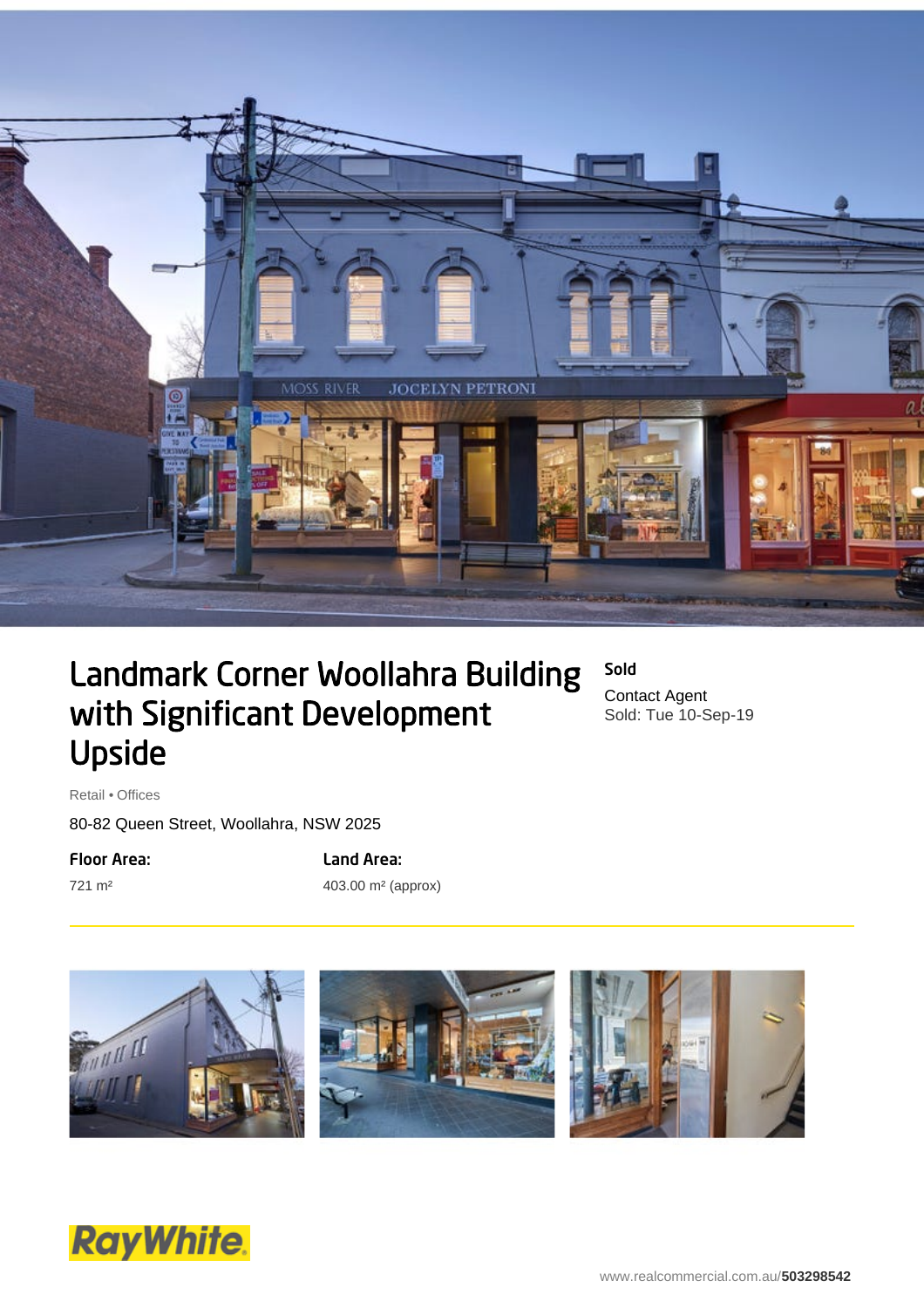

## Landmark Corner Woollahra Building with Significant Development Upside

Sold Contact Agent Sold: Tue 10-Sep-19

Retail • Offices

80-82 Queen Street, Woollahra, NSW 2025

Floor Area:

721 m²

Land Area: 403.00 m² (approx)